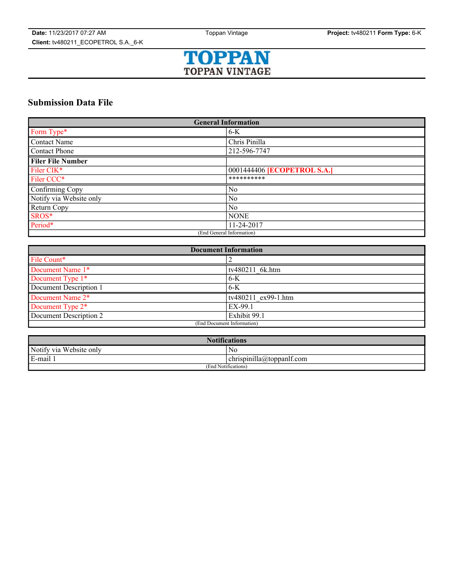

# **Submission Data File**

| <b>General Information</b> |                                    |
|----------------------------|------------------------------------|
| Form Type*                 | $6-K$                              |
| <b>Contact Name</b>        | Chris Pinilla                      |
| Contact Phone              | 212-596-7747                       |
| <b>Filer File Number</b>   |                                    |
| Filer CIK*                 | 0001444406 <b>[ECOPETROL S.A.]</b> |
| Filer CCC*                 | **********                         |
| Confirming Copy            | $\overline{N_0}$                   |
| Notify via Website only    | $\overline{N_0}$                   |
| Return Copy                | No                                 |
| SROS*                      | <b>NONE</b>                        |
| Period*                    | 11-24-2017                         |
| (End General Information)  |                                    |

| <b>Document Information</b> |                     |
|-----------------------------|---------------------|
| File Count*                 |                     |
| Document Name 1*            | tv480211 6k.htm     |
| Document Type 1*            | $6-K$               |
| Document Description 1      | $6-K$               |
| Document Name 2*            | tv480211 ex99-1.htm |
| Document Type 2*            | EX-99.1             |
| Document Description 2      | Exhibit 99.1        |
| (End Document Information)  |                     |

| <b>Notifications</b>    |                           |  |
|-------------------------|---------------------------|--|
| Notify via Website only | Nο                        |  |
| E-mail 1                | chrispinilla@toppanif.com |  |
| (End Notifications)     |                           |  |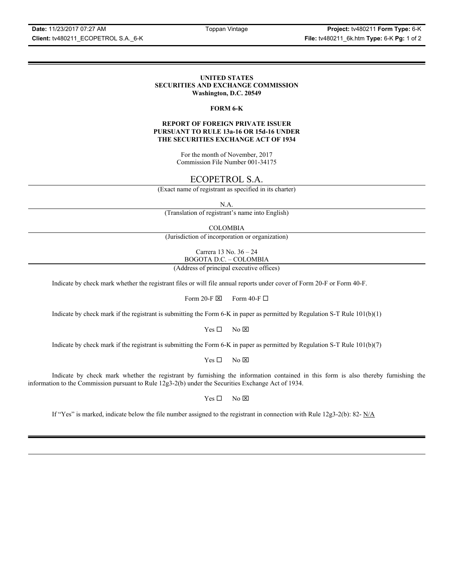**Date:** 11/23/2017 07:27 AM Toppan Vintage **Project:** tv480211 **Form Type:** 6-K **Client:** tv480211\_ECOPETROL S.A.\_6-K **File:** tv480211\_6k.htm **Type:** 6-K **Pg:** 1 of 2

## **UNITED STATES SECURITIES AND EXCHANGE COMMISSION Washington, D.C. 20549**

### **FORM 6-K**

## **REPORT OF FOREIGN PRIVATE ISSUER PURSUANT TO RULE 13a-16 OR 15d-16 UNDER THE SECURITIES EXCHANGE ACT OF 1934**

For the month of November, 2017 Commission File Number 001-34175

# ECOPETROL S.A.

(Exact name of registrant as specified in its charter)

N.A.

(Translation of registrant's name into English)

COLOMBIA

(Jurisdiction of incorporation or organization)

Carrera 13 No. 36 – 24 BOGOTA D.C. – COLOMBIA

(Address of principal executive offices)

Indicate by check mark whether the registrant files or will file annual reports under cover of Form 20-F or Form 40-F.

Form 20-F  $\boxtimes$  Form 40-F  $\Box$ 

Indicate by check mark if the registrant is submitting the Form 6-K in paper as permitted by Regulation S-T Rule 101(b)(1)

 $Yes \Box$  No  $\overline{\times}$ 

Indicate by check mark if the registrant is submitting the Form 6-K in paper as permitted by Regulation S-T Rule 101(b)(7)

 $Yes \Box$  No  $\boxtimes$ 

Indicate by check mark whether the registrant by furnishing the information contained in this form is also thereby furnishing the information to the Commission pursuant to Rule 12g3-2(b) under the Securities Exchange Act of 1934.

 $Yes \Box$  No  $\boxtimes$ 

If "Yes" is marked, indicate below the file number assigned to the registrant in connection with Rule 12g3-2(b): 82-  $N/A$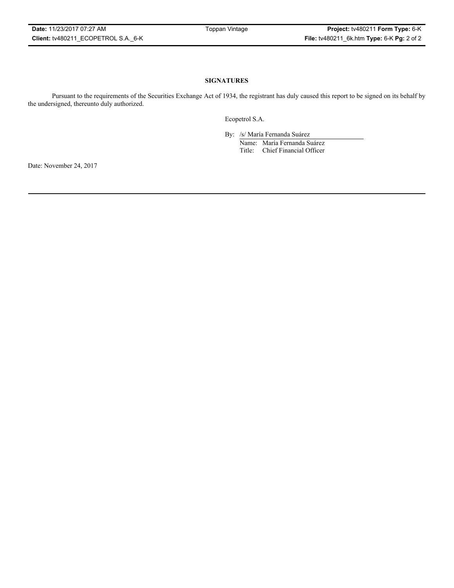# **SIGNATURES**

Pursuant to the requirements of the Securities Exchange Act of 1934, the registrant has duly caused this report to be signed on its behalf by the undersigned, thereunto duly authorized.

Ecopetrol S.A.

By: /s/ María Fernanda Suárez Name: María Fernanda Suárez Title: Chief Financial Officer

Date: November 24, 2017